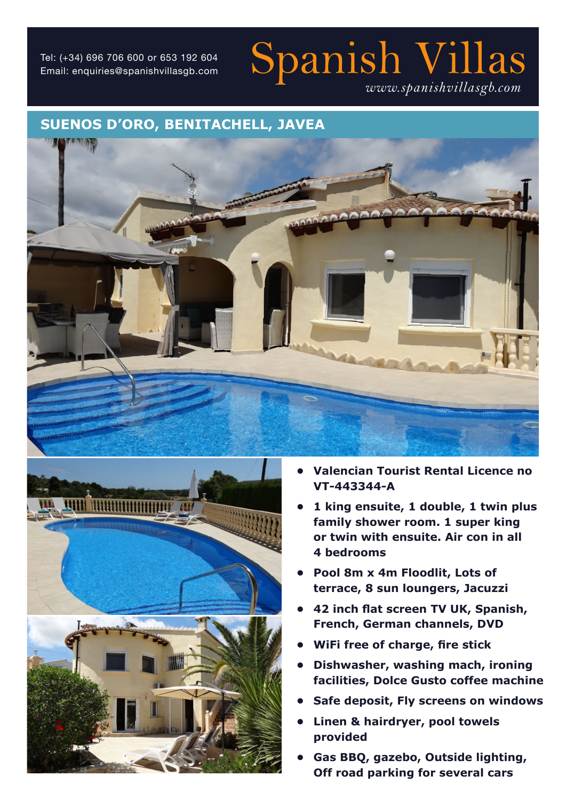# Tel: (+34) 696 706 600 or 653 192 604<br>Email: enquiries@spanishvillasgb.com  $\quad$  Spanish  $\mathop{\rm Nish}\nolimits \mathop{\rm Nish}\nolimits \mathop{\rm Vilh}\nolimits$ *www.spanishvillasgb.com*

### **SUENOS D'ORO, BENITACHELL, JAVEA**





- **• Valencian Tourist Rental Licence no VT-443344-A**
- **• 1 king ensuite, 1 double, 1 twin plus family shower room. 1 super king or twin with ensuite. Air con in all 4 bedrooms**
- **• Pool 8m x 4m Floodlit, Lots of terrace, 8 sun loungers, Jacuzzi**
- **• 42 inch flat screen TV UK, Spanish, French, German channels, DVD**
- **• WiFi free of charge, fire stick**
- **• Dishwasher, washing mach, ironing facilities, Dolce Gusto coffee machine**
- **• Safe deposit, Fly screens on windows**
- **• Linen & hairdryer, pool towels provided**
- **• Gas BBQ, gazebo, Outside lighting, Off road parking for several cars**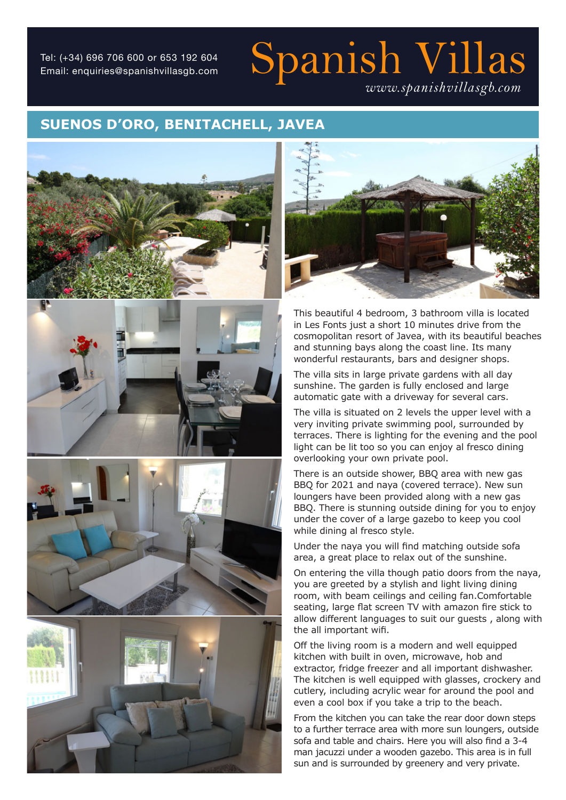Email: enquiries@spanishvillasgb.com

## Spanish Villas Tel: (+34) 696 706 600 or 653 192 604 *www.spanishvillasgb.com*

### **SUENOS D'ORO, BENITACHELL, JAVEA**











This beautiful 4 bedroom, 3 bathroom villa is located in Les Fonts just a short 10 minutes drive from the cosmopolitan resort of Javea, with its beautiful beaches and stunning bays along the coast line. Its many wonderful restaurants, bars and designer shops.

The villa sits in large private gardens with all day sunshine. The garden is fully enclosed and large automatic gate with a driveway for several cars.

The villa is situated on 2 levels the upper level with a very inviting private swimming pool, surrounded by terraces. There is lighting for the evening and the pool light can be lit too so you can enjoy al fresco dining overlooking your own private pool.

There is an outside shower, BBQ area with new gas BBQ for 2021 and naya (covered terrace). New sun loungers have been provided along with a new gas BBQ. There is stunning outside dining for you to enjoy under the cover of a large gazebo to keep you cool while dining al fresco style.

Under the naya you will find matching outside sofa area, a great place to relax out of the sunshine.

On entering the villa though patio doors from the naya, you are greeted by a stylish and light living dining room, with beam ceilings and ceiling fan.Comfortable seating, large flat screen TV with amazon fire stick to allow different languages to suit our guests , along with the all important wifi.

Off the living room is a modern and well equipped kitchen with built in oven, microwave, hob and extractor, fridge freezer and all important dishwasher. The kitchen is well equipped with glasses, crockery and cutlery, including acrylic wear for around the pool and even a cool box if you take a trip to the beach.

From the kitchen you can take the rear door down steps to a further terrace area with more sun loungers, outside sofa and table and chairs. Here you will also find a 3-4 man jacuzzi under a wooden gazebo. This area is in full sun and is surrounded by greenery and very private.